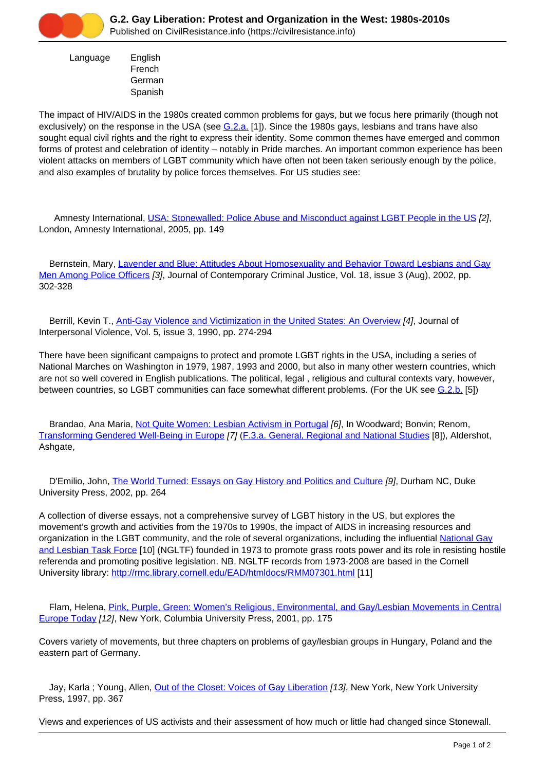

 Language English French German Spanish

The impact of HIV/AIDS in the 1980s created common problems for gays, but we focus here primarily (though not exclusively) on the response in the USA (see [G.2.a.](https://civilresistance.info/section/g-lgbt-campaigns-gay-lesbian-and-transgender-rights/g2-gay-liberation-protest-and-0) [1]). Since the 1980s gays, lesbians and trans have also sought equal civil rights and the right to express their identity. Some common themes have emerged and common forms of protest and celebration of identity – notably in Pride marches. An important common experience has been violent attacks on members of LGBT community which have often not been taken seriously enough by the police, and also examples of brutality by police forces themselves. For US studies see:

 Amnesty International, [USA: Stonewalled: Police Abuse and Misconduct against LGBT People in the US](https://civilresistance.info/biblio-item/2005/usa-stonewalled-police-abuse-and-misconduct-against-lgbt-people-us) [2], London, Amnesty International, 2005, pp. 149

Bernstein, Mary, [Lavender and Blue: Attitudes About Homosexuality and Behavior Toward Lesbians and Gay](https://civilresistance.info/biblio-item/2002/lavender-and-blue-attitudes-about-homosexuality-and-behavior-toward-lesbians-and) [Men Among Police Officers](https://civilresistance.info/biblio-item/2002/lavender-and-blue-attitudes-about-homosexuality-and-behavior-toward-lesbians-and) [3], Journal of Contemporary Criminal Justice, Vol. 18, issue 3 (Aug), 2002, pp. 302-328

 Berrill, Kevin T., [Anti-Gay Violence and Victimization in the United States: An Overview](https://civilresistance.info/biblio-item/1990/anti-gay-violence-and-victimization-united-states-overview) [4], Journal of Interpersonal Violence, Vol. 5, issue 3, 1990, pp. 274-294

There have been significant campaigns to protect and promote LGBT rights in the USA, including a series of National Marches on Washington in 1979, 1987, 1993 and 2000, but also in many other western countries, which are not so well covered in English publications. The political, legal , religious and cultural contexts vary, however, between countries, so LGBT communities can face somewhat different problems. (For the UK see [G.2.b.](https://civilresistance.info/section/g-lgbt-campaigns-gay-lesbian-and-transgender-rights/g2-gay-liberation-protest-and-1) [5])

 Brandao, Ana Maria, [Not Quite Women: Lesbian Activism in Portugal](https://civilresistance.info/biblio-item/2011/not-quite-women-lesbian-activism-portugal) [6], In Woodward; Bonvin; Renom, [Transforming Gendered Well-Being in Europe](https://civilresistance.info/biblio-item/2011/transforming-gendered-well-being-europe) [7] [\(F.3.a. General, Regional and National Studies](https://civilresistance.info/section/f-feminist-movements-and-protests/f3-global-womens-movement-1970s-2000s/f3a-general-regional) [8]), Aldershot, Ashgate,

D'Emilio, John, [The World Turned: Essays on Gay History and Politics and Culture](https://civilresistance.info/biblio-item/2002/world-turned-essays-gay-history-and-politics-and-culture) [9], Durham NC, Duke University Press, 2002, pp. 264

A collection of diverse essays, not a comprehensive survey of LGBT history in the US, but explores the movement's growth and activities from the 1970s to 1990s, the impact of AIDS in increasing resources and organization in the LGBT community, and the role of several organizations, including the influential [National Gay](http://www.thetaskforce.org) [and Lesbian Task Force](http://www.thetaskforce.org) [10] (NGLTF) founded in 1973 to promote grass roots power and its role in resisting hostile referenda and promoting positive legislation. NB. NGLTF records from 1973-2008 are based in the Cornell University library: <http://rmc.library.cornell.edu/EAD/htmldocs/RMM07301.html> [11]

 Flam, Helena, [Pink, Purple, Green: Women's Religious, Environmental, and Gay/Lesbian Movements in Central](https://civilresistance.info/biblio-item/2001/pink-purple-green-womens-religious-environmental-and-gay-lesbian-movements-central) [Europe Today](https://civilresistance.info/biblio-item/2001/pink-purple-green-womens-religious-environmental-and-gay-lesbian-movements-central) [12], New York, Columbia University Press, 2001, pp. 175

Covers variety of movements, but three chapters on problems of gay/lesbian groups in Hungary, Poland and the eastern part of Germany.

Jay, Karla ; Young, Allen, [Out of the Closet: Voices of Gay Liberation](https://civilresistance.info/biblio-item/1997/out-closet-voices-gay-liberation) [13], New York, New York University Press, 1997, pp. 367

Views and experiences of US activists and their assessment of how much or little had changed since Stonewall.